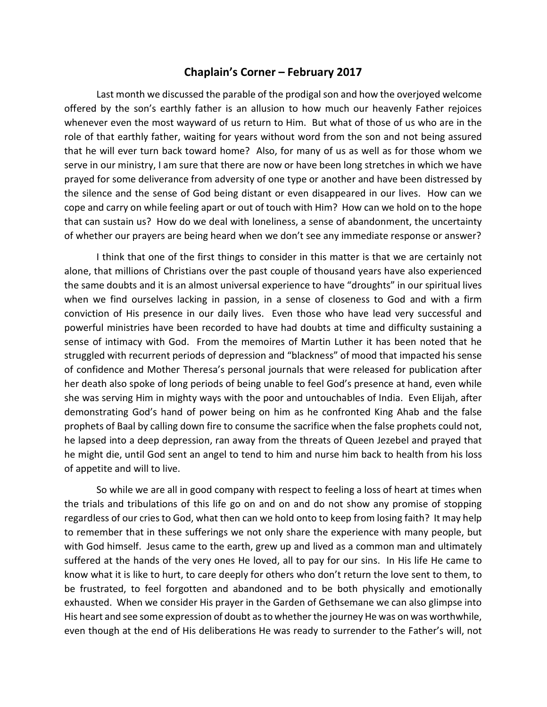## Chaplain's Corner – February 2017

Last month we discussed the parable of the prodigal son and how the overjoyed welcome offered by the son's earthly father is an allusion to how much our heavenly Father rejoices whenever even the most wayward of us return to Him. But what of those of us who are in the role of that earthly father, waiting for years without word from the son and not being assured that he will ever turn back toward home? Also, for many of us as well as for those whom we serve in our ministry, I am sure that there are now or have been long stretches in which we have prayed for some deliverance from adversity of one type or another and have been distressed by the silence and the sense of God being distant or even disappeared in our lives. How can we cope and carry on while feeling apart or out of touch with Him? How can we hold on to the hope that can sustain us? How do we deal with loneliness, a sense of abandonment, the uncertainty of whether our prayers are being heard when we don't see any immediate response or answer?

I think that one of the first things to consider in this matter is that we are certainly not alone, that millions of Christians over the past couple of thousand years have also experienced the same doubts and it is an almost universal experience to have "droughts" in our spiritual lives when we find ourselves lacking in passion, in a sense of closeness to God and with a firm conviction of His presence in our daily lives. Even those who have lead very successful and powerful ministries have been recorded to have had doubts at time and difficulty sustaining a sense of intimacy with God. From the memoires of Martin Luther it has been noted that he struggled with recurrent periods of depression and "blackness" of mood that impacted his sense of confidence and Mother Theresa's personal journals that were released for publication after her death also spoke of long periods of being unable to feel God's presence at hand, even while she was serving Him in mighty ways with the poor and untouchables of India. Even Elijah, after demonstrating God's hand of power being on him as he confronted King Ahab and the false prophets of Baal by calling down fire to consume the sacrifice when the false prophets could not, he lapsed into a deep depression, ran away from the threats of Queen Jezebel and prayed that he might die, until God sent an angel to tend to him and nurse him back to health from his loss of appetite and will to live.

So while we are all in good company with respect to feeling a loss of heart at times when the trials and tribulations of this life go on and on and do not show any promise of stopping regardless of our cries to God, what then can we hold onto to keep from losing faith? It may help to remember that in these sufferings we not only share the experience with many people, but with God himself. Jesus came to the earth, grew up and lived as a common man and ultimately suffered at the hands of the very ones He loved, all to pay for our sins. In His life He came to know what it is like to hurt, to care deeply for others who don't return the love sent to them, to be frustrated, to feel forgotten and abandoned and to be both physically and emotionally exhausted. When we consider His prayer in the Garden of Gethsemane we can also glimpse into His heart and see some expression of doubt as to whether the journey He was on was worthwhile, even though at the end of His deliberations He was ready to surrender to the Father's will, not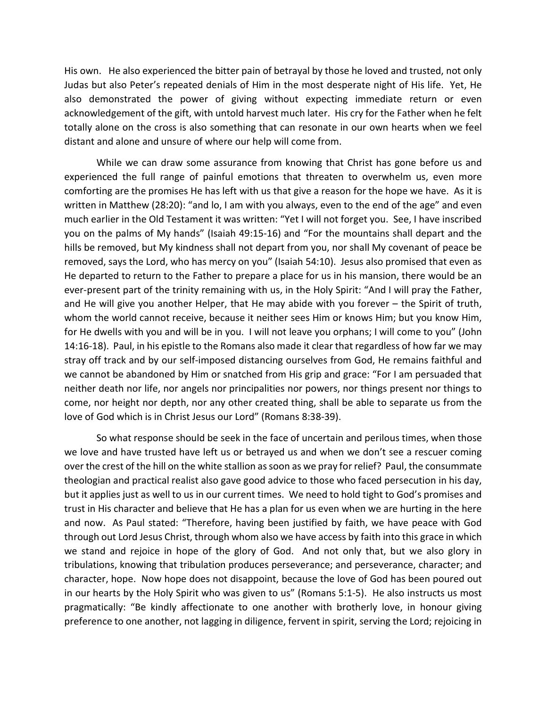His own. He also experienced the bitter pain of betrayal by those he loved and trusted, not only Judas but also Peter's repeated denials of Him in the most desperate night of His life. Yet, He also demonstrated the power of giving without expecting immediate return or even acknowledgement of the gift, with untold harvest much later. His cry for the Father when he felt totally alone on the cross is also something that can resonate in our own hearts when we feel distant and alone and unsure of where our help will come from.

While we can draw some assurance from knowing that Christ has gone before us and experienced the full range of painful emotions that threaten to overwhelm us, even more comforting are the promises He has left with us that give a reason for the hope we have. As it is written in Matthew (28:20): "and lo, I am with you always, even to the end of the age" and even much earlier in the Old Testament it was written: "Yet I will not forget you. See, I have inscribed you on the palms of My hands" (Isaiah 49:15-16) and "For the mountains shall depart and the hills be removed, but My kindness shall not depart from you, nor shall My covenant of peace be removed, says the Lord, who has mercy on you" (Isaiah 54:10). Jesus also promised that even as He departed to return to the Father to prepare a place for us in his mansion, there would be an ever-present part of the trinity remaining with us, in the Holy Spirit: "And I will pray the Father, and He will give you another Helper, that He may abide with you forever – the Spirit of truth, whom the world cannot receive, because it neither sees Him or knows Him; but you know Him, for He dwells with you and will be in you. I will not leave you orphans; I will come to you" (John 14:16-18). Paul, in his epistle to the Romans also made it clear that regardless of how far we may stray off track and by our self-imposed distancing ourselves from God, He remains faithful and we cannot be abandoned by Him or snatched from His grip and grace: "For I am persuaded that neither death nor life, nor angels nor principalities nor powers, nor things present nor things to come, nor height nor depth, nor any other created thing, shall be able to separate us from the love of God which is in Christ Jesus our Lord" (Romans 8:38-39).

So what response should be seek in the face of uncertain and perilous times, when those we love and have trusted have left us or betrayed us and when we don't see a rescuer coming over the crest of the hill on the white stallion as soon as we pray for relief? Paul, the consummate theologian and practical realist also gave good advice to those who faced persecution in his day, but it applies just as well to us in our current times. We need to hold tight to God's promises and trust in His character and believe that He has a plan for us even when we are hurting in the here and now. As Paul stated: "Therefore, having been justified by faith, we have peace with God through out Lord Jesus Christ, through whom also we have access by faith into this grace in which we stand and rejoice in hope of the glory of God. And not only that, but we also glory in tribulations, knowing that tribulation produces perseverance; and perseverance, character; and character, hope. Now hope does not disappoint, because the love of God has been poured out in our hearts by the Holy Spirit who was given to us" (Romans 5:1-5). He also instructs us most pragmatically: "Be kindly affectionate to one another with brotherly love, in honour giving preference to one another, not lagging in diligence, fervent in spirit, serving the Lord; rejoicing in